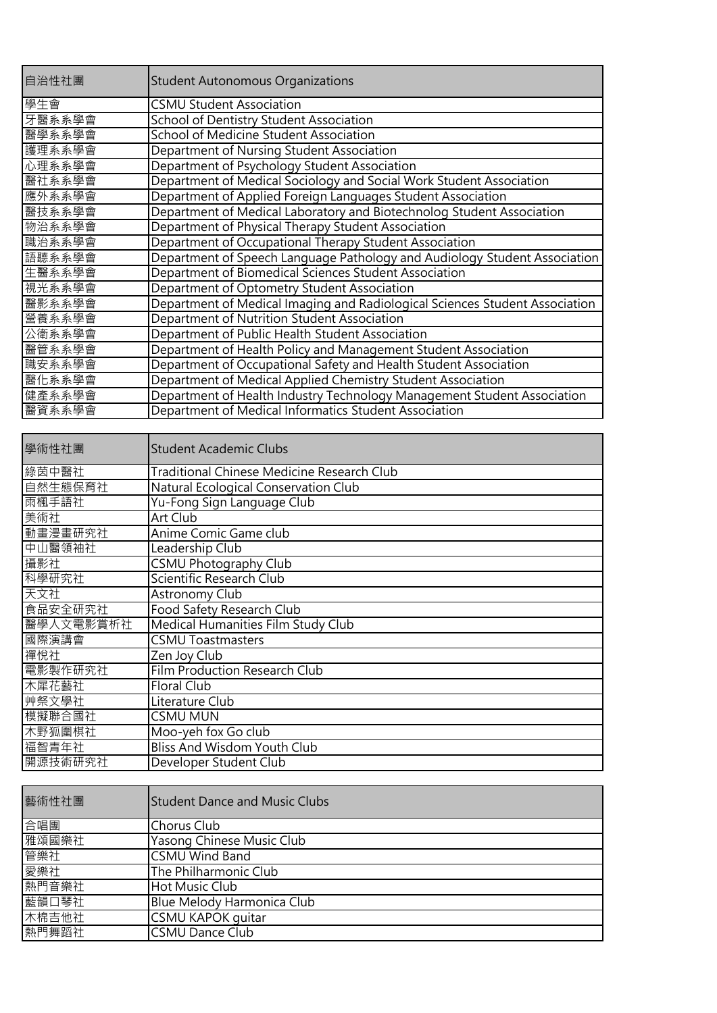| 自治性社團  | <b>Student Autonomous Organizations</b>                                     |
|--------|-----------------------------------------------------------------------------|
| 學生會    | <b>CSMU Student Association</b>                                             |
| 牙醫系系學會 | School of Dentistry Student Association                                     |
| 醫學系系學會 | School of Medicine Student Association                                      |
| 護理系系學會 | Department of Nursing Student Association                                   |
| 心理系系學會 | Department of Psychology Student Association                                |
| 醫社系系學會 | Department of Medical Sociology and Social Work Student Association         |
| 應外系系學會 | Department of Applied Foreign Languages Student Association                 |
| 醫技系系學會 | Department of Medical Laboratory and Biotechnolog Student Association       |
| 物治系系學會 | Department of Physical Therapy Student Association                          |
| 職治系系學會 | Department of Occupational Therapy Student Association                      |
| 語聽系系學會 | Department of Speech Language Pathology and Audiology Student Association   |
| 生醫系系學會 | Department of Biomedical Sciences Student Association                       |
| 視光系系學會 | Department of Optometry Student Association                                 |
| 醫影系系學會 | Department of Medical Imaging and Radiological Sciences Student Association |
| 營養系系學會 | Department of Nutrition Student Association                                 |
| 公衛系系學會 | Department of Public Health Student Association                             |
| 醫管系系學會 | Department of Health Policy and Management Student Association              |
| 職安系系學會 | Department of Occupational Safety and Health Student Association            |
| 醫化系系學會 | Department of Medical Applied Chemistry Student Association                 |
| 健產系系學會 | Department of Health Industry Technology Management Student Association     |
| 醫資系系學會 | Department of Medical Informatics Student Association                       |
|        |                                                                             |

| 學術性社團     | <b>Student Academic Clubs</b>                     |
|-----------|---------------------------------------------------|
| 綠茵中醫社     | <b>Traditional Chinese Medicine Research Club</b> |
| 自然生態保育社   | Natural Ecological Conservation Club              |
| 雨楓手語社     | Yu-Fong Sign Language Club                        |
| 美術社       | Art Club                                          |
| 動畫漫畫研究社   | Anime Comic Game club                             |
| 中山醫領袖社    | Leadership Club                                   |
| 攝影社       | CSMU Photography Club                             |
| 科學研究社     | Scientific Research Club                          |
| 天文社       | Astronomy Club                                    |
| 食品安全研究社   | Food Safety Research Club                         |
| 醫學人文電影賞析社 | Medical Humanities Film Study Club                |
| 國際演講會     | <b>CSMU Toastmasters</b>                          |
| 禪悅社       | Zen Joy Club                                      |
| 電影製作研究社   | <b>Film Production Research Club</b>              |
| 木犀花藝社     | <b>Floral Club</b>                                |
| 艸祭文學社     | Literature Club                                   |
| 模擬聯合國社    | <b>CSMU MUN</b>                                   |
| 木野狐圍棋社    | Moo-yeh fox Go club                               |
| 福智青年社     | <b>Bliss And Wisdom Youth Club</b>                |
| 開源技術研究社   | Developer Student Club                            |

| 藝術性社團 | <b>Student Dance and Music Clubs</b> |
|-------|--------------------------------------|
| 合唱團   | Chorus Club                          |
| 雅頌國樂社 | Yasong Chinese Music Club            |
| 管樂社   | <b>CSMU Wind Band</b>                |
| 愛樂社   | The Philharmonic Club                |
| 熱門音樂社 | <b>Hot Music Club</b>                |
| 藍韻口琴社 | Blue Melody Harmonica Club           |
| 木棉吉他社 | CSMU KAPOK guitar                    |
| 熱門舞蹈社 | <b>CSMU Dance Club</b>               |